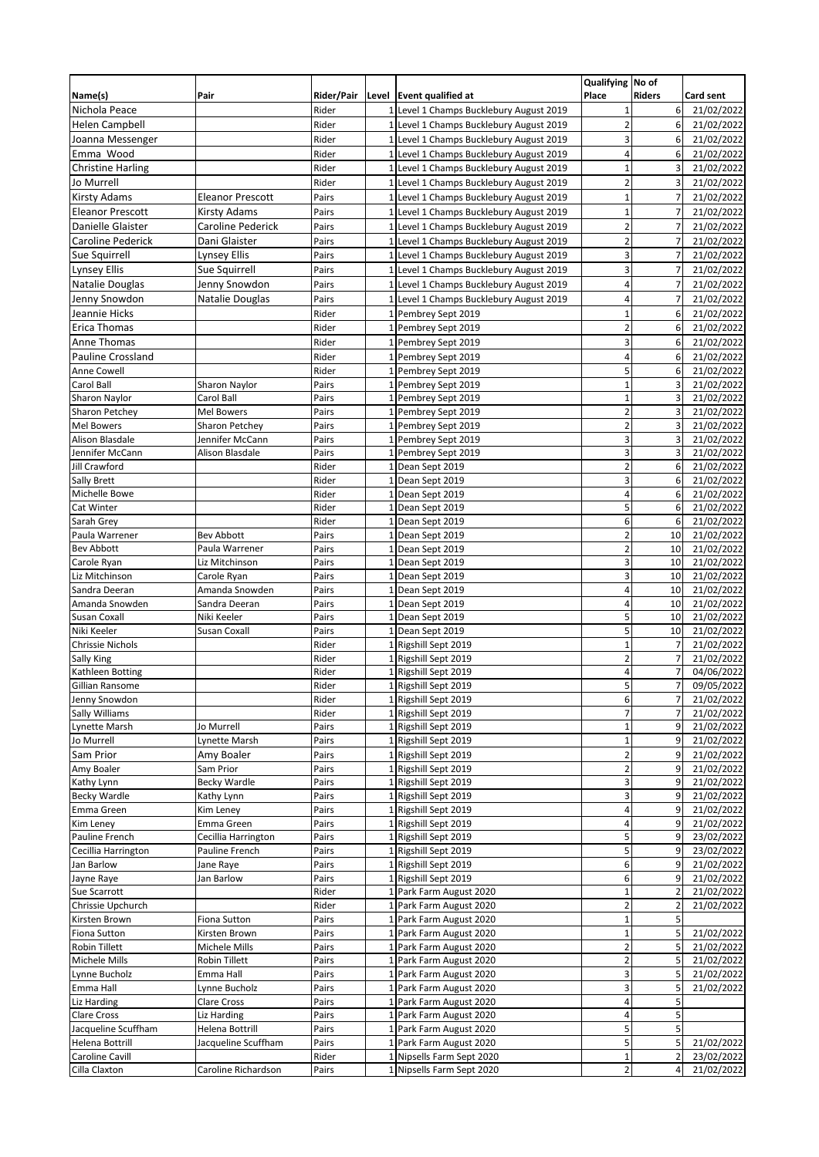|                             |                                |                |                 |                                                  | Qualifying No of        |                |                          |
|-----------------------------|--------------------------------|----------------|-----------------|--------------------------------------------------|-------------------------|----------------|--------------------------|
| Name(s)                     | Pair                           | Rider/Pair     |                 | Level Event qualified at                         | Place                   | <b>Riders</b>  | Card sent                |
| Nichola Peace               |                                | Rider          |                 | Level 1 Champs Bucklebury August 2019            | 1                       | 6              | 21/02/2022               |
| <b>Helen Campbell</b>       |                                | Rider          |                 | 1 Level 1 Champs Bucklebury August 2019          | $\overline{c}$          | 6              | 21/02/2022               |
| Joanna Messenger            |                                | Rider          |                 | 1 Level 1 Champs Bucklebury August 2019          | 3                       | 6              | 21/02/2022               |
| Emma Wood                   |                                | Rider          |                 | 1 Level 1 Champs Bucklebury August 2019          | 4                       | 6              | 21/02/2022               |
| <b>Christine Harling</b>    |                                | Rider          | 1               | Level 1 Champs Bucklebury August 2019            | $\mathbf{1}$            | 3              | 21/02/2022               |
| Jo Murrell                  |                                | Rider          | $1\overline{ }$ | Level 1 Champs Bucklebury August 2019            | $\overline{2}$          | 3              | 21/02/2022               |
| <b>Kirsty Adams</b>         | <b>Eleanor Prescott</b>        | Pairs          | 1               | Level 1 Champs Bucklebury August 2019            | $\mathbf{1}$            | 7              | 21/02/2022               |
| <b>Eleanor Prescott</b>     | Kirsty Adams                   | Pairs          |                 | 1 Level 1 Champs Bucklebury August 2019          | $\mathbf{1}$            | $\overline{7}$ | 21/02/2022               |
| Danielle Glaister           | Caroline Pederick              | Pairs          | $\mathbf{1}$    | Level 1 Champs Bucklebury August 2019            | $\overline{\mathbf{c}}$ | 7              | 21/02/2022               |
| Caroline Pederick           | Dani Glaister                  | Pairs          |                 | 1 Level 1 Champs Bucklebury August 2019          | $\overline{\mathbf{c}}$ | $\overline{7}$ | 21/02/2022               |
| Sue Squirrell               | Lynsey Ellis                   | Pairs          | $\mathbf{1}$    | Level 1 Champs Bucklebury August 2019            | 3                       | 7              | 21/02/2022               |
| <b>Lynsey Ellis</b>         | Sue Squirrell                  | Pairs          |                 | 1 Level 1 Champs Bucklebury August 2019          | 3                       | $\overline{7}$ | 21/02/2022               |
| Natalie Douglas             | Jenny Snowdon                  | Pairs          | 1               | Level 1 Champs Bucklebury August 2019            | 4                       | $\overline{7}$ | 21/02/2022               |
| Jenny Snowdon               | Natalie Douglas                | Pairs          | $\mathbf{1}$    | Level 1 Champs Bucklebury August 2019            | 4                       | $\overline{7}$ | 21/02/2022               |
| Jeannie Hicks               |                                | Rider          | 1               | Pembrey Sept 2019                                | $\overline{1}$          | 6              | 21/02/2022               |
| <b>Erica Thomas</b>         |                                | Rider          |                 | 1 Pembrey Sept 2019                              | $\overline{2}$          | 6              | 21/02/2022               |
| Anne Thomas                 |                                | Rider          |                 | 1 Pembrey Sept 2019                              | $\overline{3}$          | 6              | 21/02/2022               |
| <b>Pauline Crossland</b>    |                                | Rider          | 1               | Pembrey Sept 2019                                | 4                       | 6              | 21/02/2022               |
| Anne Cowell                 |                                | Rider          |                 | 1 Pembrey Sept 2019                              | 5                       | 6              | 21/02/2022               |
| Carol Ball                  | <b>Sharon Naylor</b>           | Pairs          |                 | 1 Pembrey Sept 2019                              | $\overline{1}$          | 3              | 21/02/2022               |
| Sharon Naylor               | Carol Ball                     | Pairs          | 1               | Pembrey Sept 2019                                | $\mathbf{1}$            | 3              | 21/02/2022               |
| <b>Sharon Petchey</b>       | Mel Bowers                     | Pairs          | $\mathbf{1}$    | Pembrey Sept 2019                                | $\overline{2}$          | 3              | 21/02/2022               |
| <b>Mel Bowers</b>           | <b>Sharon Petchey</b>          | Pairs          |                 | 1 Pembrey Sept 2019                              | $\overline{2}$          | 3              | 21/02/2022               |
| <b>Alison Blasdale</b>      | Jennifer McCann                | Pairs          | 1               | Pembrey Sept 2019                                | 3                       | 3              | 21/02/2022               |
| Jennifer McCann             | Alison Blasdale                | Pairs          | 1               | Pembrey Sept 2019                                | 3                       | 3              | 21/02/2022               |
| Jill Crawford               |                                | Rider          |                 | 1 Dean Sept 2019                                 | $\overline{2}$          | 6              | 21/02/2022               |
| <b>Sally Brett</b>          |                                | Rider          | 1               | Dean Sept 2019                                   | 3                       | 6              | 21/02/2022               |
| <b>Michelle Bowe</b>        |                                | Rider          | $\mathbf 1$     | Dean Sept 2019                                   | 4                       | 6              | 21/02/2022               |
| Cat Winter                  |                                | Rider          |                 | 1 Dean Sept 2019                                 | 5                       | 6              | 21/02/2022               |
| Sarah Grey                  |                                | Rider          |                 | 1 Dean Sept 2019                                 | 6                       | 6              | 21/02/2022               |
| Paula Warrener              | <b>Bev Abbott</b>              | Pairs          | $1\overline{ }$ | Dean Sept 2019                                   | $\overline{2}$          | 10             | 21/02/2022               |
| <b>Bev Abbott</b>           | Paula Warrener                 | Pairs          |                 | 1 Dean Sept 2019                                 | $\overline{2}$          | 10             | 21/02/2022               |
| Carole Ryan                 | Liz Mitchinson                 | Pairs          |                 | 1 Dean Sept 2019                                 | 3                       | 10             | 21/02/2022               |
| Liz Mitchinson              | Carole Ryan                    | Pairs          | 1               | Dean Sept 2019                                   | 3                       | 10             | 21/02/2022               |
| Sandra Deeran               | Amanda Snowden                 | Pairs          | $\mathbf{1}$    | Dean Sept 2019                                   | 4                       | 10             | 21/02/2022               |
| Amanda Snowden              | Sandra Deeran<br>Niki Keeler   | Pairs<br>Pairs |                 | 1 Dean Sept 2019                                 | 4<br>5                  | 10             | 21/02/2022               |
| Susan Coxall<br>Niki Keeler | Susan Coxall                   | Pairs          | $\mathbf{1}$    | Dean Sept 2019<br>1 Dean Sept 2019               | 5                       | 10<br>10       | 21/02/2022<br>21/02/2022 |
| <b>Chrissie Nichols</b>     |                                | Rider          | 1               | Rigshill Sept 2019                               | $\mathbf{1}$            | $\overline{7}$ | 21/02/2022               |
| Sally King                  |                                | Rider          | 1               | Rigshill Sept 2019                               | $\overline{2}$          | $\overline{7}$ | 21/02/2022               |
| Kathleen Botting            |                                | Rider          |                 | 1 Rigshill Sept 2019                             | 4                       | $\overline{7}$ | 04/06/2022               |
| Gillian Ransome             |                                | Rider          |                 | 1 Rigshill Sept 2019                             | 5                       | $\overline{7}$ | 09/05/2022               |
| Jenny Snowdon               |                                | Rider          |                 | 1 Rigshill Sept 2019                             | 6                       | $\overline{7}$ | 21/02/2022               |
| Sally Williams              |                                | Rider          |                 | 1 Rigshill Sept 2019                             | $\overline{7}$          | $\overline{7}$ | 21/02/2022               |
| Lynette Marsh               | Jo Murrell                     | Pairs          |                 | 1 Rigshill Sept 2019                             | $\mathbf{1}$            | 9              | 21/02/2022               |
| Jo Murrell                  | Lynette Marsh                  | Pairs          |                 | 1 Rigshill Sept 2019                             | $\mathbf{1}$            | 9              | 21/02/2022               |
| Sam Prior                   | Amy Boaler                     | Pairs          |                 | 1 Rigshill Sept 2019                             | $\overline{2}$          | 9              | 21/02/2022               |
| Amy Boaler                  | Sam Prior                      | Pairs          |                 | 1 Rigshill Sept 2019                             | $\overline{\mathbf{c}}$ | 9              | 21/02/2022               |
| Kathy Lynn                  | <b>Becky Wardle</b>            | Pairs          |                 | 1 Rigshill Sept 2019                             | 3                       | 9              | 21/02/2022               |
| Becky Wardle                | Kathy Lynn                     | Pairs          |                 | 1 Rigshill Sept 2019                             | 3                       | 9              | 21/02/2022               |
| Emma Green                  | Kim Leney                      | Pairs          |                 | 1 Rigshill Sept 2019                             | 4                       | 9              | 21/02/2022               |
| Kim Leney                   | Emma Green                     | Pairs          |                 | 1 Rigshill Sept 2019                             | 4                       | 9              | 21/02/2022               |
| Pauline French              | Cecillia Harrington            | Pairs          |                 | 1 Rigshill Sept 2019                             | 5                       | 9              | 23/02/2022               |
| Cecillia Harrington         | Pauline French                 | Pairs          |                 | 1 Rigshill Sept 2019                             | 5                       | 9              | 23/02/2022               |
| Jan Barlow                  | Jane Raye                      | Pairs          |                 | 1 Rigshill Sept 2019                             | 6                       | 9              | 21/02/2022               |
| Jayne Raye                  | Jan Barlow                     | Pairs          |                 | 1 Rigshill Sept 2019                             | 6                       | 9              | 21/02/2022               |
| Sue Scarrott                |                                | Rider          |                 | 1 Park Farm August 2020                          | $\mathbf{1}$            | $\overline{2}$ | 21/02/2022               |
| Chrissie Upchurch           |                                | Rider          |                 | 1 Park Farm August 2020                          | $\overline{2}$          | $\overline{2}$ | 21/02/2022               |
| Kirsten Brown               | Fiona Sutton                   | Pairs          |                 | 1 Park Farm August 2020                          | $\mathbf 1$             | 5              |                          |
| Fiona Sutton                | Kirsten Brown                  | Pairs          |                 | 1 Park Farm August 2020                          | $\mathbf{1}$            | 5              | 21/02/2022               |
| Robin Tillett               | Michele Mills                  | Pairs          |                 | 1 Park Farm August 2020                          | $\overline{c}$          | 5              | 21/02/2022               |
| Michele Mills               | Robin Tillett                  | Pairs          | $\mathbf{1}$    | Park Farm August 2020                            | $\overline{\mathbf{c}}$ | 5              | 21/02/2022               |
| Lynne Bucholz               | Emma Hall                      | Pairs          |                 | 1 Park Farm August 2020                          | 3                       | 5              | 21/02/2022               |
| Emma Hall<br>Liz Harding    | Lynne Bucholz                  | Pairs<br>Pairs | $\mathbf{1}$    | 1 Park Farm August 2020<br>Park Farm August 2020 | 3<br>4                  | 5<br>5         | 21/02/2022               |
| Clare Cross                 | Clare Cross                    | Pairs          |                 | 1 Park Farm August 2020                          | 4                       | 5              |                          |
| Jacqueline Scuffham         | Liz Harding<br>Helena Bottrill | Pairs          | 1               | Park Farm August 2020                            | 5                       | 5              |                          |
| Helena Bottrill             | Jacqueline Scuffham            | Pairs          | $\mathbf{1}$    | Park Farm August 2020                            | 5                       | 5              | 21/02/2022               |
| Caroline Cavill             |                                | Rider          | $\mathbf{1}$    | Nipsells Farm Sept 2020                          | $\mathbf{1}$            | $\overline{2}$ | 23/02/2022               |
| Cilla Claxton               | Caroline Richardson            | Pairs          |                 | 1 Nipsells Farm Sept 2020                        | $\overline{\mathbf{c}}$ | 4              | 21/02/2022               |
|                             |                                |                |                 |                                                  |                         |                |                          |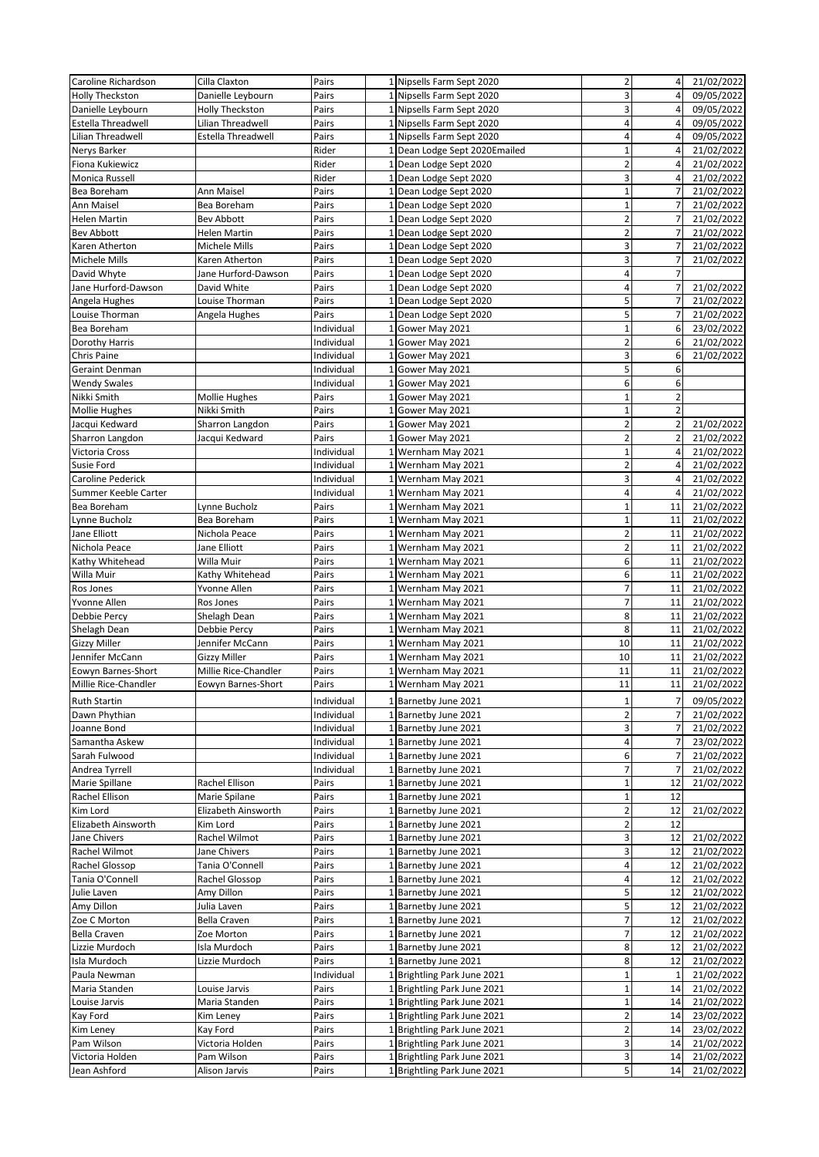| Caroline Richardson  | Cilla Claxton        | Pairs      |                 | 1 Nipsells Farm Sept 2020   | $\overline{\mathbf{c}}$ | 4              | 21/02/2022 |
|----------------------|----------------------|------------|-----------------|-----------------------------|-------------------------|----------------|------------|
| Holly Theckston      | Danielle Leybourn    | Pairs      |                 | 1 Nipsells Farm Sept 2020   | 3                       | $\overline{4}$ | 09/05/2022 |
| Danielle Leybourn    | Holly Theckston      | Pairs      | $\mathbf{1}$    | Nipsells Farm Sept 2020     | 3                       |                | 09/05/2022 |
| Estella Threadwell   | Lilian Threadwell    | Pairs      |                 | 1 Nipsells Farm Sept 2020   | 4                       | 4              | 09/05/2022 |
| Lilian Threadwell    | Estella Threadwell   | Pairs      |                 | 1 Nipsells Farm Sept 2020   | 4                       | 4              | 09/05/2022 |
| Nerys Barker         |                      | Rider      | $\mathbf{1}$    | Dean Lodge Sept 2020Emailed | $\overline{1}$          | 4              | 21/02/2022 |
| Fiona Kukiewicz      |                      | Rider      |                 | 1 Dean Lodge Sept 2020      | $\overline{2}$          | $\overline{4}$ | 21/02/2022 |
| Monica Russell       |                      | Rider      |                 | 1 Dean Lodge Sept 2020      | 3                       | $\overline{4}$ | 21/02/2022 |
| Bea Boreham          | Ann Maisel           | Pairs      | $\mathbf{1}$    | Dean Lodge Sept 2020        | $\overline{1}$          |                | 21/02/2022 |
| Ann Maisel           | Bea Boreham          | Pairs      |                 | 1 Dean Lodge Sept 2020      | $\overline{1}$          | 7              | 21/02/2022 |
| <b>Helen Martin</b>  | Bev Abbott           | Pairs      | 1               | Dean Lodge Sept 2020        | $\overline{a}$          | $\overline{7}$ | 21/02/2022 |
| <b>Bev Abbott</b>    | <b>Helen Martin</b>  | Pairs      | $\mathbf{1}$    | Dean Lodge Sept 2020        | $\overline{a}$          |                | 21/02/2022 |
| Karen Atherton       | Michele Mills        | Pairs      | 1               | Dean Lodge Sept 2020        | 3                       | 7              | 21/02/2022 |
| <b>Michele Mills</b> | Karen Atherton       | Pairs      | $\mathbf{1}$    | Dean Lodge Sept 2020        | 3                       | $\overline{7}$ | 21/02/2022 |
| David Whyte          | Jane Hurford-Dawson  | Pairs      | 1               | Dean Lodge Sept 2020        | 4                       | $\overline{7}$ |            |
| Jane Hurford-Dawson  | David White          | Pairs      | 1               | Dean Lodge Sept 2020        | 4                       | $\overline{7}$ | 21/02/2022 |
| Angela Hughes        | Louise Thorman       | Pairs      |                 | 1 Dean Lodge Sept 2020      | 5                       | $\overline{7}$ | 21/02/2022 |
| Louise Thorman       | Angela Hughes        | Pairs      | 1               | Dean Lodge Sept 2020        | 5                       | $\overline{7}$ | 21/02/2022 |
| Bea Boreham          |                      | Individual | 1               | Gower May 2021              | $\mathbf{1}$            | 6              | 23/02/2022 |
| Dorothy Harris       |                      | Individual |                 | 1 Gower May 2021            | $\overline{2}$          | 6              | 21/02/2022 |
| <b>Chris Paine</b>   |                      | Individual | 1               | Gower May 2021              | 3                       | 6              | 21/02/2022 |
| Geraint Denman       |                      | Individual | 1               | Gower May 2021              | 5                       | 6              |            |
| <b>Wendy Swales</b>  |                      | Individual |                 | 1 Gower May 2021            | 6                       | 6              |            |
| Nikki Smith          | <b>Mollie Hughes</b> | Pairs      | 1               | Gower May 2021              | $\overline{1}$          | $\overline{2}$ |            |
| <b>Mollie Hughes</b> | Nikki Smith          | Pairs      | $\mathbf{1}$    | Gower May 2021              | $\mathbf{1}$            | $\overline{2}$ |            |
| Jacqui Kedward       | Sharron Langdon      | Pairs      | $1\overline{ }$ | Gower May 2021              | $\overline{a}$          | $\overline{2}$ | 21/02/2022 |
| Sharron Langdon      | Jacqui Kedward       | Pairs      | 1               | Gower May 2021              | $\overline{2}$          | $\overline{2}$ | 21/02/2022 |
| Victoria Cross       |                      | Individual | $\mathbf{1}$    | Wernham May 2021            | $\mathbf{1}$            | $\overline{4}$ | 21/02/2022 |
| Susie Ford           |                      | Individual | 1               | Wernham May 2021            | $\overline{a}$          | $\overline{4}$ | 21/02/2022 |
| Caroline Pederick    |                      | Individual | 1               | Wernham May 2021            | 3                       | 4              | 21/02/2022 |
| Summer Keeble Carter |                      | Individual | 1               | Wernham May 2021            | 4                       |                | 21/02/2022 |
| Bea Boreham          | Lynne Bucholz        | Pairs      | $\mathbf{1}$    | Wernham May 2021            | $\overline{1}$          | 11             | 21/02/2022 |
| Lynne Bucholz        | Bea Boreham          | Pairs      |                 | 1 Wernham May 2021          | $\mathbf{1}$            | 11             | 21/02/2022 |
| Jane Elliott         | Nichola Peace        | Pairs      | 1               | Wernham May 2021            | $\overline{2}$          | 11             | 21/02/2022 |
| Nichola Peace        | Jane Elliott         | Pairs      | $1\overline{ }$ | Wernham May 2021            | $\overline{2}$          | 11             | 21/02/2022 |
| Kathy Whitehead      | Willa Muir           | Pairs      | 1               | Wernham May 2021            | 6                       | 11             | 21/02/2022 |
| Willa Muir           | Kathy Whitehead      | Pairs      | 1               | Wernham May 2021            | 6                       | 11             | 21/02/2022 |
| Ros Jones            | Yvonne Allen         | Pairs      | $\mathbf{1}$    | Wernham May 2021            | $\overline{7}$          | 11             | 21/02/2022 |
| Yvonne Allen         | Ros Jones            | Pairs      | $\mathbf{1}$    | Wernham May 2021            | $\overline{7}$          | 11             | 21/02/2022 |
| Debbie Percy         | Shelagh Dean         | Pairs      | 1               | Wernham May 2021            | 8                       | 11             | 21/02/2022 |
| Shelagh Dean         | Debbie Percy         | Pairs      | $\mathbf{1}$    | Wernham May 2021            | 8                       | 11             | 21/02/2022 |
| <b>Gizzy Miller</b>  | Jennifer McCann      | Pairs      | 1               | Wernham May 2021            | 10                      | 11             | 21/02/2022 |
| Jennifer McCann      | <b>Gizzy Miller</b>  | Pairs      | 1               | Wernham May 2021            | 10                      | 11             | 21/02/2022 |
| Eowyn Barnes-Short   | Millie Rice-Chandler | Pairs      |                 | 1 Wernham May 2021          | 11                      | 11             | 21/02/2022 |
| Millie Rice-Chandler | Eowyn Barnes-Short   | Pairs      |                 | 1 Wernham May 2021          | 11                      | 11             | 21/02/2022 |
| <b>Ruth Startin</b>  |                      | Individual |                 | 1 Barnetby June 2021        | $\mathbf{1}$            | $\overline{7}$ | 09/05/2022 |
| Dawn Phythian        |                      | Individual |                 | 1 Barnetby June 2021        | $\overline{2}$          | $\overline{7}$ | 21/02/2022 |
| Joanne Bond          |                      | Individual |                 | 1 Barnetby June 2021        | 3                       | 7              | 21/02/2022 |
| Samantha Askew       |                      | Individual |                 | 1 Barnetby June 2021        | 4                       |                | 23/02/2022 |
| Sarah Fulwood        |                      | Individual |                 | 1 Barnetby June 2021        | 6                       | $\overline{7}$ | 21/02/2022 |
| Andrea Tyrrell       |                      | Individual |                 | 1 Barnetby June 2021        | 7                       | $\overline{7}$ | 21/02/2022 |
| Marie Spillane       | Rachel Ellison       | Pairs      |                 | 1 Barnetby June 2021        | $\mathbf 1$             | 12             | 21/02/2022 |
| Rachel Ellison       | Marie Spilane        | Pairs      |                 | 1 Barnetby June 2021        | $\mathbf{1}$            | 12             |            |
| Kim Lord             | Elizabeth Ainsworth  | Pairs      | $\mathbf{1}$    | Barnetby June 2021          | $\overline{\mathbf{c}}$ | 12             | 21/02/2022 |
| Elizabeth Ainsworth  | Kim Lord             | Pairs      |                 | 1 Barnetby June 2021        | $\overline{2}$          | 12             |            |
| Jane Chivers         | Rachel Wilmot        | Pairs      |                 | 1 Barnetby June 2021        | 3                       | 12             | 21/02/2022 |
| Rachel Wilmot        | Jane Chivers         | Pairs      | $\mathbf{1}$    | Barnetby June 2021          | 3                       | 12             | 21/02/2022 |
| Rachel Glossop       | Tania O'Connell      | Pairs      |                 | 1 Barnetby June 2021        | 4                       | 12             | 21/02/2022 |
| Tania O'Connell      | Rachel Glossop       | Pairs      |                 | 1 Barnetby June 2021        | 4                       | 12             | 21/02/2022 |
| Julie Laven          | Amy Dillon           | Pairs      | $\mathbf{1}$    | Barnetby June 2021          | 5                       | 12             | 21/02/2022 |
| Amy Dillon           | Julia Laven          | Pairs      |                 | 1 Barnetby June 2021        | 5                       | 12             | 21/02/2022 |
| Zoe C Morton         | Bella Craven         | Pairs      |                 | 1 Barnetby June 2021        | 7                       | 12             | 21/02/2022 |
| Bella Craven         | Zoe Morton           | Pairs      | $\mathbf{1}$    | Barnetby June 2021          | 7                       | 12             | 21/02/2022 |
| Lizzie Murdoch       | Isla Murdoch         | Pairs      |                 | 1 Barnetby June 2021        | 8                       | 12             | 21/02/2022 |
| Isla Murdoch         | Lizzie Murdoch       | Pairs      |                 | 1 Barnetby June 2021        | 8                       | 12             | 21/02/2022 |
| Paula Newman         |                      | Individual |                 | 1 Brightling Park June 2021 | $\overline{1}$          | $\mathbf{1}$   | 21/02/2022 |
| Maria Standen        | Louise Jarvis        | Pairs      |                 | 1 Brightling Park June 2021 | $\mathbf{1}$            | 14             | 21/02/2022 |
| Louise Jarvis        | Maria Standen        | Pairs      |                 | 1 Brightling Park June 2021 | $\mathbf{1}$            | 14             | 21/02/2022 |
| Kay Ford             | Kim Leney            | Pairs      |                 | 1 Brightling Park June 2021 | $\overline{a}$          | 14             | 23/02/2022 |
| Kim Leney            | Kay Ford             | Pairs      |                 | 1 Brightling Park June 2021 | $\overline{2}$          | 14             | 23/02/2022 |
| Pam Wilson           | Victoria Holden      | Pairs      |                 | 1 Brightling Park June 2021 | 3                       | 14             | 21/02/2022 |
| Victoria Holden      | Pam Wilson           | Pairs      |                 | 1 Brightling Park June 2021 | 3                       | 14             | 21/02/2022 |
| Jean Ashford         | Alison Jarvis        | Pairs      |                 | 1 Brightling Park June 2021 | 5                       | 14             | 21/02/2022 |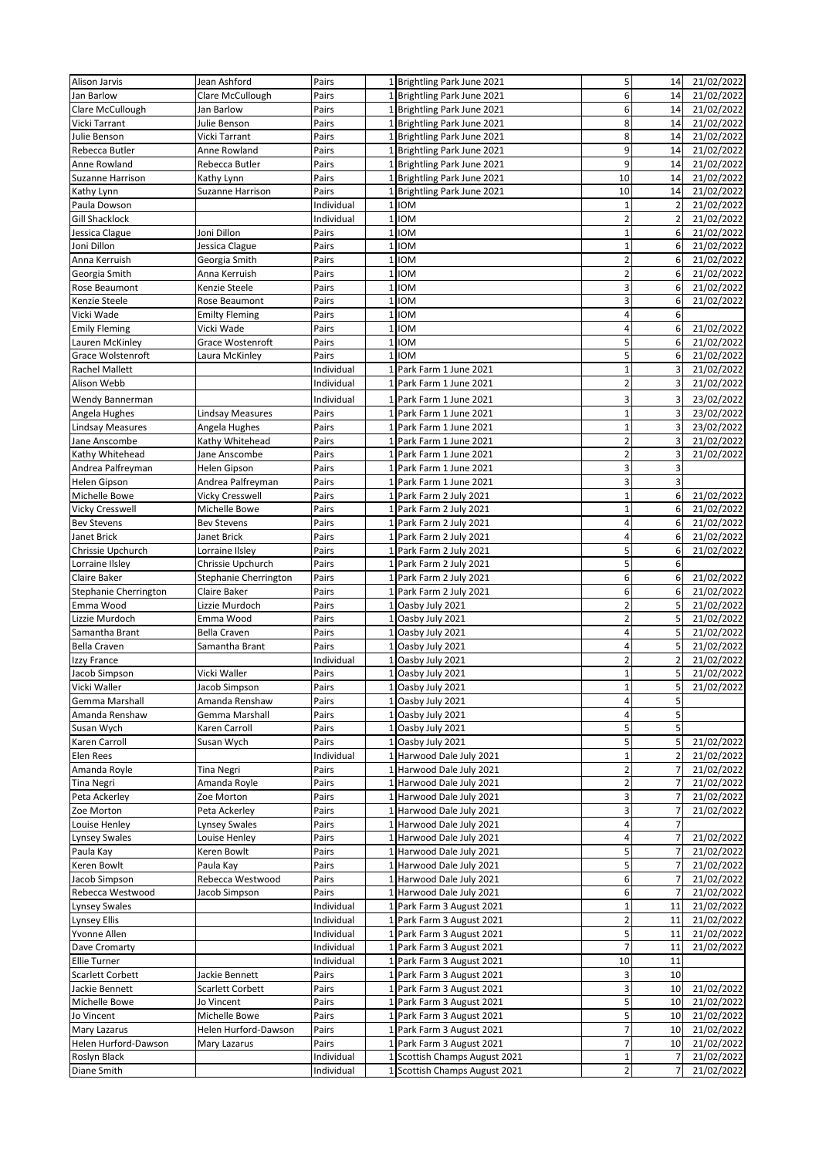| Alison Jarvis            | Jean Ashford            | Pairs      |                 | 1 Brightling Park June 2021   | 5                       | 14                      | 21/02/2022 |
|--------------------------|-------------------------|------------|-----------------|-------------------------------|-------------------------|-------------------------|------------|
| Jan Barlow               | Clare McCullough        | Pairs      |                 | 1 Brightling Park June 2021   | 6                       | 14                      | 21/02/2022 |
| Clare McCullough         | Jan Barlow              | Pairs      |                 | 1 Brightling Park June 2021   | 6                       | 14                      | 21/02/2022 |
| Vicki Tarrant            | Julie Benson            | Pairs      |                 | 1 Brightling Park June 2021   | 8                       | 14                      | 21/02/2022 |
| Julie Benson             | Vicki Tarrant           | Pairs      |                 | 1 Brightling Park June 2021   | 8                       | 14                      | 21/02/2022 |
| Rebecca Butler           | Anne Rowland            | Pairs      |                 | 1 Brightling Park June 2021   | 9                       | 14                      | 21/02/2022 |
| Anne Rowland             | Rebecca Butler          | Pairs      |                 | 1 Brightling Park June 2021   | 9                       | 14                      | 21/02/2022 |
| Suzanne Harrison         |                         | Pairs      | $1\overline{ }$ |                               | 10                      | 14                      | 21/02/2022 |
|                          | Kathy Lynn              |            |                 | Brightling Park June 2021     |                         |                         |            |
| Kathy Lynn               | Suzanne Harrison        | Pairs      | 1               | Brightling Park June 2021     | 10                      | 14                      | 21/02/2022 |
| Paula Dowson             |                         | Individual | $1\vert$        | <b>IOM</b>                    | $\mathbf{1}$            | $\overline{2}$          | 21/02/2022 |
| <b>Gill Shacklock</b>    |                         | Individual | $\mathbf 1$     | <b>IOM</b>                    | $\overline{2}$          | $\overline{2}$          | 21/02/2022 |
| Jessica Clague           | Joni Dillon             | Pairs      | $\mathbf{1}$    | <b>IOM</b>                    | $\mathbf{1}$            | 6                       | 21/02/2022 |
| Joni Dillon              | Jessica Clague          | Pairs      | $\mathbf{1}$    | <b>IOM</b>                    | $\mathbf{1}$            | 6                       | 21/02/2022 |
| Anna Kerruish            | Georgia Smith           | Pairs      | $\mathbf{1}$    | <b>IOM</b>                    | $\overline{2}$          | 6                       | 21/02/2022 |
| Georgia Smith            | Anna Kerruish           | Pairs      | $\mathbf{1}$    | <b>IOM</b>                    | $\overline{\mathbf{c}}$ | 6                       | 21/02/2022 |
| Rose Beaumont            | Kenzie Steele           | Pairs      | $\mathbf 1$     | <b>IOM</b>                    | 3                       | 6                       | 21/02/2022 |
| Kenzie Steele            | Rose Beaumont           | Pairs      | $\mathbf{1}$    | <b>IOM</b>                    | 3                       | 6                       | 21/02/2022 |
| Vicki Wade               | <b>Emilty Fleming</b>   | Pairs      | $\overline{1}$  | <b>IOM</b>                    | 4                       | 6                       |            |
| <b>Emily Fleming</b>     | Vicki Wade              | Pairs      | $\mathbf 1$     | <b>IOM</b>                    | 4                       | $6 \mid$                | 21/02/2022 |
| Lauren McKinley          | Grace Wostenroft        | Pairs      | $\mathbf 1$     | <b>IOM</b>                    | 5                       | $6 \overline{6}$        | 21/02/2022 |
| <b>Grace Wolstenroft</b> | Laura McKinley          | Pairs      | $\mathbf{1}$    | <b>IOM</b>                    | 5                       | 6                       | 21/02/2022 |
|                          |                         |            | $\mathbf{1}$    |                               | $\mathbf 1$             | $\overline{3}$          |            |
| <b>Rachel Mallett</b>    |                         | Individual |                 | Park Farm 1 June 2021         |                         |                         | 21/02/2022 |
| Alison Webb              |                         | Individual | 1 <sup>1</sup>  | Park Farm 1 June 2021         | $\overline{\mathbf{c}}$ | $\overline{3}$          | 21/02/2022 |
| Wendy Bannerman          |                         | Individual |                 | 1 Park Farm 1 June 2021       | 3                       | $\overline{\mathbf{3}}$ | 23/02/2022 |
| Angela Hughes            | <b>Lindsay Measures</b> | Pairs      | 1               | Park Farm 1 June 2021         | $\mathbf{1}$            | 3                       | 23/02/2022 |
| <b>Lindsay Measures</b>  | Angela Hughes           | Pairs      |                 | 1 Park Farm 1 June 2021       | $\overline{1}$          | $\overline{3}$          | 23/02/2022 |
| Jane Anscombe            | Kathy Whitehead         | Pairs      |                 | 1 Park Farm 1 June 2021       | $\overline{2}$          | 3                       | 21/02/2022 |
| Kathy Whitehead          | Jane Anscombe           | Pairs      | 1               | Park Farm 1 June 2021         | 2                       | 3                       | 21/02/2022 |
| Andrea Palfreyman        | Helen Gipson            | Pairs      | $1\vert$        | Park Farm 1 June 2021         | 3                       | 3                       |            |
| Helen Gipson             | Andrea Palfreyman       | Pairs      |                 | 1 Park Farm 1 June 2021       | 3                       | $\overline{\mathbf{3}}$ |            |
| Michelle Bowe            | Vicky Cresswell         | Pairs      | 1               | Park Farm 2 July 2021         | 1                       | 6                       | 21/02/2022 |
| <b>Vicky Cresswell</b>   | Michelle Bowe           | Pairs      |                 | 1 Park Farm 2 July 2021       | $\mathbf{1}$            | 6                       | 21/02/2022 |
|                          |                         |            |                 |                               | 4                       | 6                       |            |
| <b>Bev Stevens</b>       | <b>Bev Stevens</b>      | Pairs      |                 | 1 Park Farm 2 July 2021       |                         |                         | 21/02/2022 |
| Janet Brick              | Janet Brick             | Pairs      | 1               | Park Farm 2 July 2021         | 4                       | 6                       | 21/02/2022 |
| Chrissie Upchurch        | Lorraine Ilsley         | Pairs      | 1               | Park Farm 2 July 2021         | 5                       | 6                       | 21/02/2022 |
| Lorraine Ilsley          | Chrissie Upchurch       | Pairs      | 1 <sup>1</sup>  | Park Farm 2 July 2021         | 5                       | 6                       |            |
| Claire Baker             | Stephanie Cherrington   | Pairs      | $\mathbf{1}$    | Park Farm 2 July 2021         | 6                       | 6                       | 21/02/2022 |
| Stephanie Cherrington    | Claire Baker            | Pairs      |                 | 1 Park Farm 2 July 2021       | 6                       | 6                       | 21/02/2022 |
| Emma Wood                | Lizzie Murdoch          | Pairs      |                 | 1 Oasby July 2021             | $\overline{\mathbf{c}}$ | 5                       | 21/02/2022 |
| Lizzie Murdoch           | Emma Wood               | Pairs      | 1               | Oasby July 2021               | $\overline{2}$          | 5                       | 21/02/2022 |
| Samantha Brant           | Bella Craven            | Pairs      | $\mathbf{1}$    | Oasby July 2021               | 4                       | 5                       | 21/02/2022 |
| <b>Bella Craven</b>      | Samantha Brant          | Pairs      | $\mathbf{1}$    | Oasby July 2021               | 4                       | 5                       | 21/02/2022 |
| Izzy France              |                         | Individual | 1               | Oasby July 2021               | $\overline{\mathbf{c}}$ | $\overline{2}$          | 21/02/2022 |
| Jacob Simpson            | Vicki Waller            | Pairs      | 1               | Oasby July 2021               | $\mathbf{1}$            | 5                       | 21/02/2022 |
| Vicki Waller             | Jacob Simpson           | Pairs      | $\mathbf 1$     | Oasby July 2021               | $\mathbf 1$             | $\mathsf{S}$            | 21/02/2022 |
| Gemma Marshall           | Amanda Renshaw          | Pairs      |                 | 1 Oasby July 2021             | 4                       | 5                       |            |
| Amanda Renshaw           | Gemma Marshall          | Pairs      |                 | Oasby July 2021               | 4                       | $\overline{\mathbf{5}}$ |            |
| Susan Wych               | Karen Carroll           | Pairs      |                 | 1 Oasby July 2021             | 5                       | 5 <sup>1</sup>          |            |
|                          |                         |            |                 |                               |                         |                         |            |
| Karen Carroll            | Susan Wych              | Pairs      |                 | 1 Oasby July 2021             | 5                       | 5 <sup>1</sup>          | 21/02/2022 |
| Elen Rees                |                         | Individual | 1               | Harwood Dale July 2021        | $\mathbf{1}$            | $\overline{2}$          | 21/02/2022 |
| Amanda Royle             | Tina Negri              | Pairs      |                 | 1 Harwood Dale July 2021      | $\overline{\mathbf{c}}$ | $\overline{7}$          | 21/02/2022 |
| <b>Tina Negri</b>        | Amanda Royle            | Pairs      |                 | 1 Harwood Dale July 2021      | $\overline{2}$          | $\overline{7}$          | 21/02/2022 |
| Peta Ackerley            | Zoe Morton              | Pairs      |                 | 1 Harwood Dale July 2021      | 3                       | $\overline{7}$          | 21/02/2022 |
| Zoe Morton               | Peta Ackerley           | Pairs      |                 | 1 Harwood Dale July 2021      | 3                       | $\overline{7}$          | 21/02/2022 |
| Louise Henley            | Lynsey Swales           | Pairs      |                 | 1 Harwood Dale July 2021      | 4                       | $\overline{7}$          |            |
| <b>Lynsey Swales</b>     | Louise Henley           | Pairs      |                 | 1 Harwood Dale July 2021      | 4                       | $\overline{7}$          | 21/02/2022 |
| Paula Kay                | Keren Bowlt             | Pairs      |                 | 1 Harwood Dale July 2021      | 5                       |                         | 21/02/2022 |
| Keren Bowlt              | Paula Kay               | Pairs      |                 | 1 Harwood Dale July 2021      | 5                       |                         | 21/02/2022 |
| Jacob Simpson            | Rebecca Westwood        | Pairs      |                 | 1 Harwood Dale July 2021      | 6                       |                         | 21/02/2022 |
| Rebecca Westwood         | Jacob Simpson           | Pairs      | 1 <sup>1</sup>  | Harwood Dale July 2021        | 6                       |                         | 21/02/2022 |
| <b>Lynsey Swales</b>     |                         | Individual |                 | 1 Park Farm 3 August 2021     | $\mathbf{1}$            | 11                      | 21/02/2022 |
| Lynsey Ellis             |                         | Individual |                 | 1 Park Farm 3 August 2021     | 2                       | 11                      | 21/02/2022 |
| Yvonne Allen             |                         | Individual | $\mathbf{1}$    | Park Farm 3 August 2021       | 5                       | 11                      | 21/02/2022 |
| Dave Cromarty            |                         |            |                 |                               | $\overline{7}$          | 11                      | 21/02/2022 |
|                          |                         | Individual |                 | 1 Park Farm 3 August 2021     |                         |                         |            |
| <b>Ellie Turner</b>      |                         | Individual |                 | 1 Park Farm 3 August 2021     | 10                      | 11                      |            |
| Scarlett Corbett         | Jackie Bennett          | Pairs      | $\mathbf{1}$    | Park Farm 3 August 2021       | 3                       | 10                      |            |
| Jackie Bennett           | Scarlett Corbett        | Pairs      |                 | 1 Park Farm 3 August 2021     | 3                       | 10                      | 21/02/2022 |
| Michelle Bowe            | Jo Vincent              | Pairs      | 1               | Park Farm 3 August 2021       | 5                       | 10                      | 21/02/2022 |
| Jo Vincent               | Michelle Bowe           | Pairs      |                 | Park Farm 3 August 2021       | 5                       | 10                      | 21/02/2022 |
| Mary Lazarus             | Helen Hurford-Dawson    | Pairs      |                 | 1 Park Farm 3 August 2021     | 7                       | 10                      | 21/02/2022 |
| Helen Hurford-Dawson     | Mary Lazarus            | Pairs      | $\mathbf{1}$    | Park Farm 3 August 2021       | 7                       | 10                      | 21/02/2022 |
| Roslyn Black             |                         | Individual |                 | Scottish Champs August 2021   | 1                       |                         | 21/02/2022 |
| Diane Smith              |                         | Individual |                 | 1 Scottish Champs August 2021 | 2                       |                         | 21/02/2022 |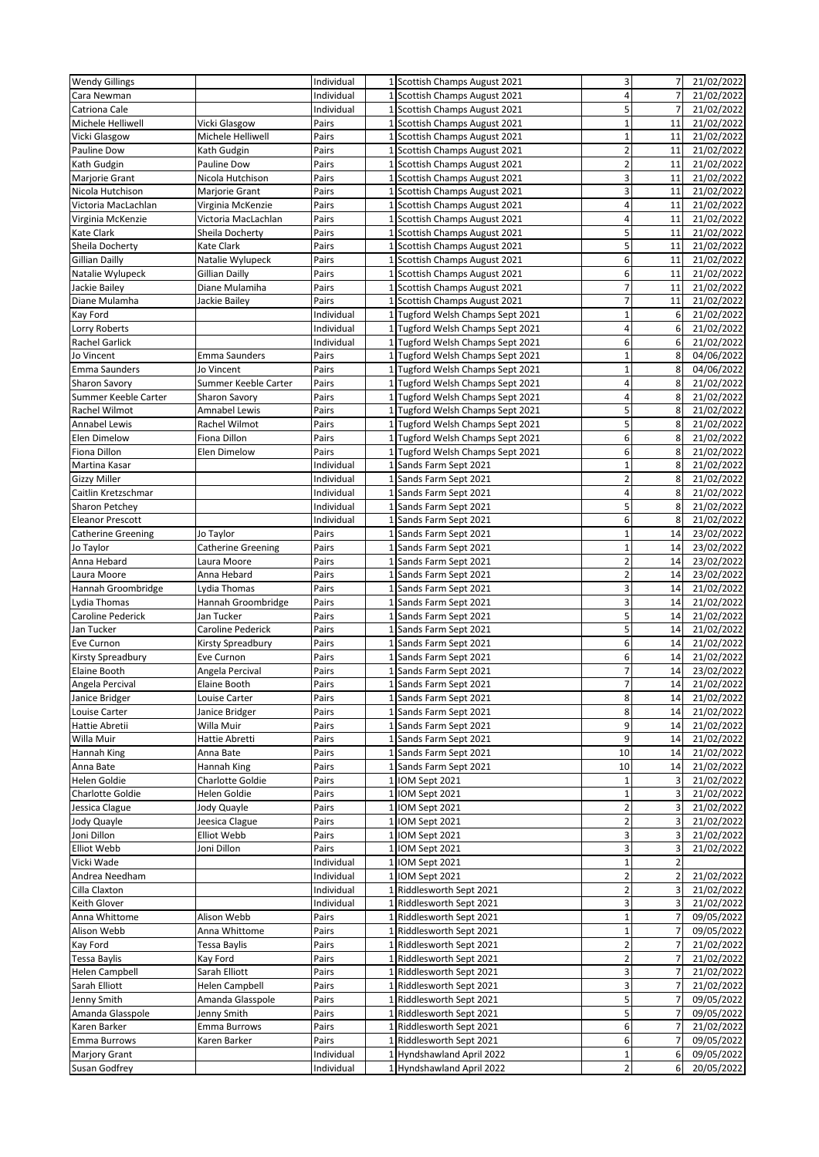| <b>Wendy Gillings</b>            |                                          | Individual          |                 | 1 Scottish Champs August 2021                                  | 3                              | $\overline{7}$      | 21/02/2022               |
|----------------------------------|------------------------------------------|---------------------|-----------------|----------------------------------------------------------------|--------------------------------|---------------------|--------------------------|
| Cara Newman                      |                                          | Individual          |                 | 1 Scottish Champs August 2021                                  | 4                              | $\overline{7}$      | 21/02/2022               |
| Catriona Cale                    |                                          | Individual          |                 | 1 Scottish Champs August 2021                                  | 5                              | $\overline{7}$      | 21/02/2022               |
| Michele Helliwell                | Vicki Glasgow                            | Pairs               | $1\overline{ }$ | Scottish Champs August 2021                                    | $\mathbf{1}$                   | 11                  | 21/02/2022               |
| Vicki Glasgow                    | Michele Helliwell                        | Pairs               |                 | 1 Scottish Champs August 2021                                  | $\overline{1}$                 | 11                  | 21/02/2022               |
| Pauline Dow                      | Kath Gudgin                              | Pairs               |                 | 1 Scottish Champs August 2021                                  | $\overline{2}$                 | 11                  | 21/02/2022               |
| Kath Gudgin                      | Pauline Dow                              | Pairs               |                 | 1 Scottish Champs August 2021                                  | $\overline{2}$                 | 11                  | 21/02/2022               |
| <b>Marjorie Grant</b>            | Nicola Hutchison                         | Pairs               |                 | 1 Scottish Champs August 2021                                  | 3                              | 11                  | 21/02/2022               |
| Nicola Hutchison                 | Marjorie Grant                           | Pairs               | $\mathbf{1}$    | Scottish Champs August 2021                                    | 3<br>4                         | 11<br>11            | 21/02/2022               |
| Victoria MacLachlan              | Virginia McKenzie<br>Victoria MacLachlan | Pairs<br>Pairs      |                 | 1 Scottish Champs August 2021                                  | 4                              | 11                  | 21/02/2022<br>21/02/2022 |
| Virginia McKenzie<br>Kate Clark  | Sheila Docherty                          | Pairs               |                 | 1 Scottish Champs August 2021<br>1 Scottish Champs August 2021 | 5                              | 11                  | 21/02/2022               |
| Sheila Docherty                  | Kate Clark                               | Pairs               |                 | 1 Scottish Champs August 2021                                  | 5                              | 11                  | 21/02/2022               |
| <b>Gillian Dailly</b>            | Natalie Wylupeck                         | Pairs               |                 | 1 Scottish Champs August 2021                                  | 6                              | 11                  | 21/02/2022               |
| Natalie Wylupeck                 | Gillian Dailly                           | Pairs               |                 | 1 Scottish Champs August 2021                                  | 6                              | 11                  | 21/02/2022               |
| Jackie Bailey                    | Diane Mulamiha                           | Pairs               |                 | 1 Scottish Champs August 2021                                  | $\overline{7}$                 | 11                  | 21/02/2022               |
| Diane Mulamha                    | Jackie Bailey                            | Pairs               |                 | 1 Scottish Champs August 2021                                  | $\overline{7}$                 | 11                  | 21/02/2022               |
| Kay Ford                         |                                          | Individual          |                 | 1 Tugford Welsh Champs Sept 2021                               | $\mathbf{1}$                   | 6                   | 21/02/2022               |
| Lorry Roberts                    |                                          | Individual          |                 | 1 Tugford Welsh Champs Sept 2021                               | 4                              | 6                   | 21/02/2022               |
| <b>Rachel Garlick</b>            |                                          | Individual          |                 | 1 Tugford Welsh Champs Sept 2021                               | 6                              | 6                   | 21/02/2022               |
| Jo Vincent                       | <b>Emma Saunders</b>                     | Pairs               |                 | 1 Tugford Welsh Champs Sept 2021                               | $\mathbf{1}$                   | 8                   | 04/06/2022               |
| <b>Emma Saunders</b>             | Jo Vincent                               | Pairs               |                 | 1 Tugford Welsh Champs Sept 2021                               | $\mathbf{1}$                   | 8                   | 04/06/2022               |
| <b>Sharon Savory</b>             | Summer Keeble Carter                     | Pairs               |                 | 1 Tugford Welsh Champs Sept 2021                               | 4                              | 8                   | 21/02/2022               |
| Summer Keeble Carter             | Sharon Savory                            | Pairs               | $\mathbf{1}$    | Tugford Welsh Champs Sept 2021                                 | 4                              | 8                   | 21/02/2022               |
| Rachel Wilmot                    | Amnabel Lewis                            | Pairs               |                 | 1 Tugford Welsh Champs Sept 2021                               | 5                              | 8                   | 21/02/2022               |
| <b>Annabel Lewis</b>             | Rachel Wilmot                            | Pairs               |                 | 1 Tugford Welsh Champs Sept 2021                               | 5                              | 8                   | 21/02/2022               |
| Elen Dimelow                     | Fiona Dillon                             | Pairs               | $\mathbf{1}$    | Tugford Welsh Champs Sept 2021                                 | 6                              | 8                   | 21/02/2022               |
| Fiona Dillon                     | Elen Dimelow                             | Pairs               |                 | 1 Tugford Welsh Champs Sept 2021                               | 6                              | 8                   | 21/02/2022               |
| Martina Kasar                    |                                          | Individual          |                 | 1 Sands Farm Sept 2021                                         | $\overline{1}$                 | 8                   | 21/02/2022               |
| <b>Gizzy Miller</b>              |                                          | Individual          | 1               | Sands Farm Sept 2021                                           | $\overline{a}$                 | 8                   | 21/02/2022               |
| Caitlin Kretzschmar              |                                          | Individual          |                 | 1 Sands Farm Sept 2021                                         | 4                              | 8                   | 21/02/2022               |
| Sharon Petchey                   |                                          | Individual          |                 | 1 Sands Farm Sept 2021                                         | 5                              | 8                   | 21/02/2022               |
| <b>Eleanor Prescott</b>          |                                          | Individual          | 1               | Sands Farm Sept 2021                                           | 6                              | 8                   | 21/02/2022               |
| <b>Catherine Greening</b>        | Jo Taylor                                | Pairs               | 1               | Sands Farm Sept 2021                                           | $\mathbf{1}$<br>$\overline{1}$ | 14<br>14            | 23/02/2022               |
| Jo Taylor<br>Anna Hebard         | <b>Catherine Greening</b>                | Pairs<br>Pairs      | $1\overline{ }$ | Sands Farm Sept 2021                                           | $\overline{a}$                 | 14                  | 23/02/2022<br>23/02/2022 |
| Laura Moore                      | Laura Moore<br>Anna Hebard               | Pairs               | 1<br>1          | Sands Farm Sept 2021<br>Sands Farm Sept 2021                   | $\overline{a}$                 | 14                  | 23/02/2022               |
| Hannah Groombridge               | Lydia Thomas                             | Pairs               |                 | 1 Sands Farm Sept 2021                                         | 3                              | 14                  | 21/02/2022               |
| Lydia Thomas                     | Hannah Groombridge                       | Pairs               | $\mathbf{1}$    | Sands Farm Sept 2021                                           | 3                              | 14                  | 21/02/2022               |
| <b>Caroline Pederick</b>         | Jan Tucker                               | Pairs               |                 | 1 Sands Farm Sept 2021                                         | 5                              | 14                  | 21/02/2022               |
| Jan Tucker                       | Caroline Pederick                        | Pairs               |                 | 1 Sands Farm Sept 2021                                         | 5                              | 14                  | 21/02/2022               |
| Eve Curnon                       | Kirsty Spreadbury                        | Pairs               | $\mathbf{1}$    | Sands Farm Sept 2021                                           | 6                              | 14                  | 21/02/2022               |
| Kirsty Spreadbury                | Eve Curnon                               | Pairs               | 1               | Sands Farm Sept 2021                                           | 6                              | 14                  | 21/02/2022               |
| Elaine Booth                     | Angela Percival                          | Pairs               | $1\overline{ }$ | Sands Farm Sept 2021                                           | 7                              | 14                  | 23/02/2022               |
| Angela Percival                  | Elaine Booth                             | Pairs               |                 | 1 Sands Farm Sept 2021                                         | $\overline{7}$                 | 14                  | 21/02/2022               |
| Janice Bridger                   | Louise Carter                            | Pairs               |                 | 1 Sands Farm Sept 2021                                         | 8                              | 14                  | 21/02/2022               |
| Louise Carter                    | Janice Bridger                           | Pairs               |                 | 1 Sands Farm Sept 2021                                         | 8                              | 14                  | 21/02/2022               |
| Hattie Abretii                   | Willa Muir                               | Pairs               |                 | 1 Sands Farm Sept 2021                                         | 9                              | 14                  | 21/02/2022               |
| Willa Muir                       | Hattie Abretti                           | Pairs               |                 | 1 Sands Farm Sept 2021                                         | 9                              | 14                  | 21/02/2022               |
| Hannah King                      | Anna Bate                                | Pairs               |                 | 1 Sands Farm Sept 2021                                         | 10                             | 14                  | 21/02/2022               |
| Anna Bate                        | Hannah King                              | Pairs               |                 | 1 Sands Farm Sept 2021                                         | 10                             | 14                  | 21/02/2022               |
| Helen Goldie                     | Charlotte Goldie                         | Pairs               |                 | 1 IOM Sept 2021                                                | $\overline{1}$                 |                     | 21/02/2022               |
| Charlotte Goldie                 | Helen Goldie                             | Pairs               |                 | 1 IOM Sept 2021                                                | $\mathbf{1}$                   |                     | 21/02/2022               |
| Jessica Clague                   | Jody Quayle                              | Pairs               |                 | 1 IOM Sept 2021                                                | 2                              | 3                   | 21/02/2022               |
| Jody Quayle<br>Joni Dillon       | Jeesica Clague<br>Elliot Webb            | Pairs               |                 | 1 IOM Sept 2021<br>1 IOM Sept 2021                             | $\overline{2}$<br>3            | 3                   | 21/02/2022<br>21/02/2022 |
|                                  |                                          | Pairs               |                 |                                                                |                                |                     |                          |
| <b>Elliot Webb</b><br>Vicki Wade | Joni Dillon                              | Pairs<br>Individual | 1               | IOM Sept 2021<br>1 IOM Sept 2021                               | 3<br>$\mathbf{1}$              | 3<br>$\overline{2}$ | 21/02/2022               |
| Andrea Needham                   |                                          | Individual          |                 | 1 IOM Sept 2021                                                | $\overline{2}$                 | 2                   | 21/02/2022               |
| Cilla Claxton                    |                                          | Individual          | $\mathbf{1}$    | Riddlesworth Sept 2021                                         | $\overline{\mathbf{c}}$        | 3                   | 21/02/2022               |
| Keith Glover                     |                                          | Individual          |                 | 1 Riddlesworth Sept 2021                                       | 3                              | 3                   | 21/02/2022               |
| Anna Whittome                    | Alison Webb                              | Pairs               |                 | 1 Riddlesworth Sept 2021                                       | $\mathbf{1}$                   | 7                   | 09/05/2022               |
| Alison Webb                      | Anna Whittome                            | Pairs               |                 | 1 Riddlesworth Sept 2021                                       | $\mathbf{1}$                   |                     | 09/05/2022               |
| Kay Ford                         | Tessa Baylis                             | Pairs               |                 | 1 Riddlesworth Sept 2021                                       | $\overline{2}$                 |                     | 21/02/2022               |
| <b>Tessa Baylis</b>              | Kay Ford                                 | Pairs               |                 | 1 Riddlesworth Sept 2021                                       | $\overline{2}$                 |                     | 21/02/2022               |
| Helen Campbell                   | Sarah Elliott                            | Pairs               |                 | 1 Riddlesworth Sept 2021                                       | 3                              |                     | 21/02/2022               |
| Sarah Elliott                    | <b>Helen Campbell</b>                    | Pairs               |                 | 1 Riddlesworth Sept 2021                                       | 3                              | $\overline{7}$      | 21/02/2022               |
| Jenny Smith                      | Amanda Glasspole                         | Pairs               |                 | 1 Riddlesworth Sept 2021                                       | 5                              | $\overline{7}$      | 09/05/2022               |
| Amanda Glasspole                 | Jenny Smith                              | Pairs               |                 | 1 Riddlesworth Sept 2021                                       | 5                              | $\overline{7}$      | 09/05/2022               |
| Karen Barker                     | Emma Burrows                             | Pairs               |                 | 1 Riddlesworth Sept 2021                                       | 6                              | $\overline{7}$      | 21/02/2022               |
| Emma Burrows                     | Karen Barker                             | Pairs               |                 | 1 Riddlesworth Sept 2021                                       | 6                              | $\overline{7}$      | 09/05/2022               |
| <b>Marjory Grant</b>             |                                          | Individual          |                 | 1 Hyndshawland April 2022                                      | $\mathbf{1}$                   | 6                   | 09/05/2022               |
| Susan Godfrey                    |                                          | Individual          |                 | 1 Hyndshawland April 2022                                      | $\overline{2}$                 | 6                   | 20/05/2022               |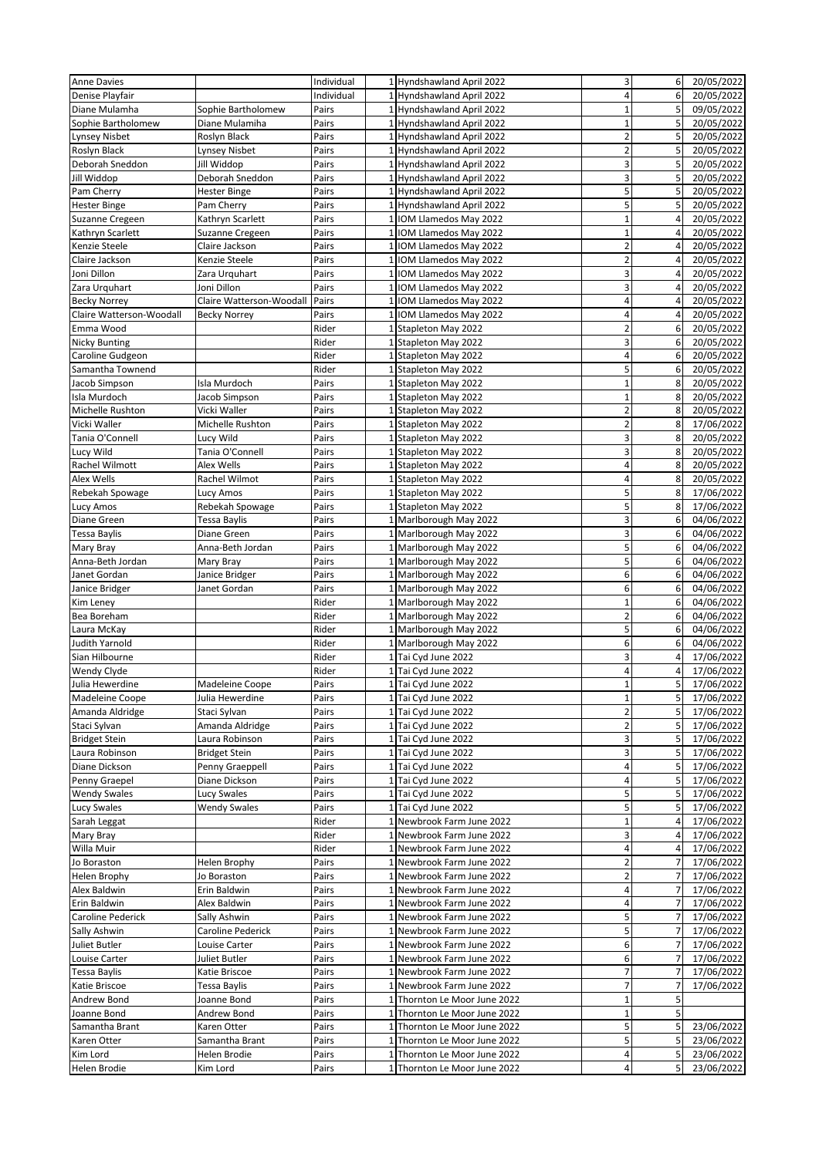| <b>Anne Davies</b>           |                              | Individual     |                 | 1 Hyndshawland April 2022    | 3                       | 6              | 20/05/2022 |
|------------------------------|------------------------------|----------------|-----------------|------------------------------|-------------------------|----------------|------------|
| Denise Playfair              |                              | Individual     |                 | 1 Hyndshawland April 2022    | 4                       | 6              | 20/05/2022 |
| Diane Mulamha                | Sophie Bartholomew           | Pairs          |                 | 1 Hyndshawland April 2022    | $\mathbf{1}$            | 5              | 09/05/2022 |
| Sophie Bartholomew           | Diane Mulamiha               | Pairs          | 1               | Hyndshawland April 2022      | $\mathbf{1}$            | 5              | 20/05/2022 |
| Lynsey Nisbet                | Roslyn Black                 | Pairs          |                 | 1 Hyndshawland April 2022    | $\overline{2}$          | 5              | 20/05/2022 |
| Roslyn Black                 | Lynsey Nisbet                | Pairs          |                 | 1 Hyndshawland April 2022    | $\overline{2}$          | 5              | 20/05/2022 |
| Deborah Sneddon              | Jill Widdop                  | Pairs          |                 | 1 Hyndshawland April 2022    | 3                       | 5              | 20/05/2022 |
| Jill Widdop                  | Deborah Sneddon              | Pairs          |                 | 1 Hyndshawland April 2022    | 3                       | 5              | 20/05/2022 |
| Pam Cherry                   | <b>Hester Binge</b>          | Pairs          |                 | 1 Hyndshawland April 2022    | 5                       | 5              | 20/05/2022 |
| <b>Hester Binge</b>          | Pam Cherry                   | Pairs          |                 | 1 Hyndshawland April 2022    | 5                       | 5              | 20/05/2022 |
| Suzanne Cregeen              | Kathryn Scarlett             | Pairs          | 1               | IOM Llamedos May 2022        | $\overline{1}$          | 4              | 20/05/2022 |
| Kathryn Scarlett             | Suzanne Cregeen              | Pairs          | $\mathbf{1}$    | IOM Llamedos May 2022        | $\mathbf{1}$            | 4              | 20/05/2022 |
| Kenzie Steele                | Claire Jackson               | Pairs          | $1\overline{ }$ | IOM Llamedos May 2022        | $\overline{\mathbf{c}}$ | 4              | 20/05/2022 |
| Claire Jackson               | Kenzie Steele                | Pairs          | 1               | IOM Llamedos May 2022        | $\overline{2}$          | $\overline{4}$ | 20/05/2022 |
| Joni Dillon                  | Zara Urquhart                | Pairs          | $\mathbf{1}$    | IOM Llamedos May 2022        | 3                       | $\overline{4}$ | 20/05/2022 |
| Zara Urquhart                | Joni Dillon                  | Pairs          | $\mathbf{1}$    | IOM Llamedos May 2022        | 3                       | 4              | 20/05/2022 |
| <b>Becky Norrey</b>          | Claire Watterson-Woodall     | Pairs          |                 | 1 IOM Llamedos May 2022      | 4                       | $\overline{4}$ | 20/05/2022 |
| Claire Watterson-Woodall     | <b>Becky Norrey</b>          | Pairs          |                 | 1 IOM Llamedos May 2022      | 4                       | $\overline{4}$ | 20/05/2022 |
| Emma Wood                    |                              | Rider          |                 | 1 Stapleton May 2022         | $\overline{2}$          | 6              | 20/05/2022 |
| <b>Nicky Bunting</b>         |                              | Rider          |                 | 1 Stapleton May 2022         | 3                       | 6              | 20/05/2022 |
| Caroline Gudgeon             |                              | Rider          |                 | 1 Stapleton May 2022         | 4                       | 6              | 20/05/2022 |
| Samantha Townend             |                              | Rider          |                 | 1 Stapleton May 2022         | 5                       | 6              | 20/05/2022 |
| Jacob Simpson                | Isla Murdoch                 | Pairs          |                 | 1 Stapleton May 2022         | $\mathbf{1}$            | 8              | 20/05/2022 |
| Isla Murdoch                 | Jacob Simpson                | Pairs          | $\mathbf{1}$    | Stapleton May 2022           | $\overline{1}$          | 8              | 20/05/2022 |
| Michelle Rushton             | Vicki Waller                 | Pairs          |                 | 1 Stapleton May 2022         | $\overline{\mathbf{c}}$ | 8              | 20/05/2022 |
| Vicki Waller                 | Michelle Rushton             | Pairs          |                 | 1 Stapleton May 2022         | $\overline{a}$          | 8              | 17/06/2022 |
|                              |                              |                | $\mathbf{1}$    | Stapleton May 2022           | 3                       | 8              | 20/05/2022 |
| Tania O'Connell<br>Lucy Wild | Lucy Wild<br>Tania O'Connell | Pairs<br>Pairs |                 | 1 Stapleton May 2022         | 3                       | 8              | 20/05/2022 |
|                              |                              |                |                 |                              | 4                       | 8              |            |
| Rachel Wilmott               | Alex Wells                   | Pairs          |                 | 1 Stapleton May 2022         | 4                       |                | 20/05/2022 |
| Alex Wells                   | Rachel Wilmot                | Pairs          | 1               | Stapleton May 2022           |                         | 8              | 20/05/2022 |
| Rebekah Spowage              | Lucy Amos                    | Pairs          |                 | 1 Stapleton May 2022         | 5                       | 8              | 17/06/2022 |
| Lucy Amos                    | Rebekah Spowage              | Pairs          |                 | 1 Stapleton May 2022         | 5                       | 8              | 17/06/2022 |
| Diane Green                  | Tessa Baylis                 | Pairs          | 1               | Marlborough May 2022         | 3                       | 6              | 04/06/2022 |
| Tessa Baylis                 | Diane Green                  | Pairs          |                 | 1 Marlborough May 2022       | 3                       | 6              | 04/06/2022 |
| Mary Bray                    | Anna-Beth Jordan             | Pairs          |                 | 1 Marlborough May 2022       | 5                       | 6              | 04/06/2022 |
| Anna-Beth Jordan             | Mary Bray                    | Pairs          | 1               | Marlborough May 2022         | 5                       | 6              | 04/06/2022 |
| Janet Gordan                 | Janice Bridger               | Pairs          |                 | 1 Marlborough May 2022       | 6                       | 6              | 04/06/2022 |
| Janice Bridger               | Janet Gordan                 | Pairs          |                 | 1 Marlborough May 2022       | 6                       | 6              | 04/06/2022 |
| Kim Leney                    |                              | Rider          | 1               | Marlborough May 2022         | $\overline{1}$          | 6              | 04/06/2022 |
| Bea Boreham                  |                              | Rider          |                 | 1 Marlborough May 2022       | $\overline{2}$          | 6              | 04/06/2022 |
| Laura McKay                  |                              | Rider          |                 | 1 Marlborough May 2022       | 5                       | 6              | 04/06/2022 |
| Judith Yarnold               |                              | Rider          | $\mathbf{1}$    | Marlborough May 2022         | 6                       | 6              | 04/06/2022 |
| Sian Hilbourne               |                              | Rider          |                 | 1 Tai Cyd June 2022          | 3                       | $\overline{4}$ | 17/06/2022 |
| <b>Wendy Clyde</b>           |                              | Rider          |                 | 1 Tai Cyd June 2022          | 4                       | $\overline{4}$ | 17/06/2022 |
| Julia Hewerdine              | Madeleine Coope              | Pairs          |                 | 1 Tai Cyd June 2022          | $\mathbf{1}$            | 5              | 17/06/2022 |
| Madeleine Coope              | Julia Hewerdine              | Pairs          |                 | 1 Tai Cyd June 2022          | $\mathbf 1$             | 5              | 17/06/2022 |
| Amanda Aldridge              | Staci Sylvan                 | Pairs          |                 | 1 Tai Cyd June 2022          | $\overline{c}$          | 5              | 17/06/2022 |
| Staci Sylvan                 | Amanda Aldridge              | Pairs          |                 | 1 Tai Cyd June 2022          | 2                       | 5              | 17/06/2022 |
| <b>Bridget Stein</b>         | Laura Robinson               | Pairs          |                 | 1 Tai Cyd June 2022          | 3                       | 5              | 17/06/2022 |
| Laura Robinson               | <b>Bridget Stein</b>         | Pairs          |                 | 1 Tai Cyd June 2022          | 3                       |                | 17/06/2022 |
| Diane Dickson                | Penny Graeppell              | Pairs          |                 | 1 Tai Cyd June 2022          | 4                       | 5              | 17/06/2022 |
| Penny Graepel                | Diane Dickson                | Pairs          | $1\overline{ }$ | Tai Cyd June 2022            | 4                       |                | 17/06/2022 |
| <b>Wendy Swales</b>          | Lucy Swales                  | Pairs          |                 | 1 Tai Cyd June 2022          | 5                       |                | 17/06/2022 |
| Lucy Swales                  | <b>Wendy Swales</b>          | Pairs          | 1               | Tai Cyd June 2022            | 5                       |                | 17/06/2022 |
| Sarah Leggat                 |                              | Rider          | 1               | Newbrook Farm June 2022      | $\mathbf{1}$            |                | 17/06/2022 |
| Mary Bray                    |                              | Rider          |                 | 1 Newbrook Farm June 2022    | 3                       | 4              | 17/06/2022 |
| Willa Muir                   |                              | Rider          | 1               | Newbrook Farm June 2022      | 4                       | 4              | 17/06/2022 |
| Jo Boraston                  | Helen Brophy                 | Pairs          | 1               | Newbrook Farm June 2022      | $\overline{2}$          |                | 17/06/2022 |
| Helen Brophy                 | Jo Boraston                  | Pairs          |                 | 1 Newbrook Farm June 2022    | $\overline{c}$          | 7              | 17/06/2022 |
| Alex Baldwin                 | Erin Baldwin                 | Pairs          | $\mathbf{1}$    | Newbrook Farm June 2022      | 4                       |                | 17/06/2022 |
| Erin Baldwin                 | Alex Baldwin                 | Pairs          | $1\overline{ }$ | Newbrook Farm June 2022      | 4                       |                | 17/06/2022 |
| Caroline Pederick            | Sally Ashwin                 | Pairs          |                 | 1 Newbrook Farm June 2022    | 5                       | 7              | 17/06/2022 |
| Sally Ashwin                 | Caroline Pederick            | Pairs          |                 | 1 Newbrook Farm June 2022    | 5                       |                | 17/06/2022 |
| Juliet Butler                | Louise Carter                | Pairs          | 1               | Newbrook Farm June 2022      | 6                       |                | 17/06/2022 |
| Louise Carter                | Juliet Butler                | Pairs          | $\mathbf{1}$    | Newbrook Farm June 2022      | 6                       |                | 17/06/2022 |
| Tessa Baylis                 | Katie Briscoe                | Pairs          |                 | 1 Newbrook Farm June 2022    | 7                       |                | 17/06/2022 |
| Katie Briscoe                | Tessa Baylis                 | Pairs          | 1               | Newbrook Farm June 2022      | $\overline{7}$          | 7              | 17/06/2022 |
| Andrew Bond                  | Joanne Bond                  | Pairs          |                 | 1 Thornton Le Moor June 2022 | $\mathbf{1}$            | 5              |            |
| Joanne Bond                  | Andrew Bond                  | Pairs          |                 | 1 Thornton Le Moor June 2022 | $\mathbf{1}$            | 5              |            |
| Samantha Brant               | Karen Otter                  | Pairs          | 1               | Thornton Le Moor June 2022   | 5                       | 5              | 23/06/2022 |
| Karen Otter                  | Samantha Brant               | Pairs          | $\mathbf{1}$    | Thornton Le Moor June 2022   | 5                       | 5              | 23/06/2022 |
| Kim Lord                     | Helen Brodie                 | Pairs          | 1               | Thornton Le Moor June 2022   | 4                       |                | 23/06/2022 |
| Helen Brodie                 | Kim Lord                     | Pairs          |                 | 1 Thornton Le Moor June 2022 | 4                       | 5              | 23/06/2022 |
|                              |                              |                |                 |                              |                         |                |            |